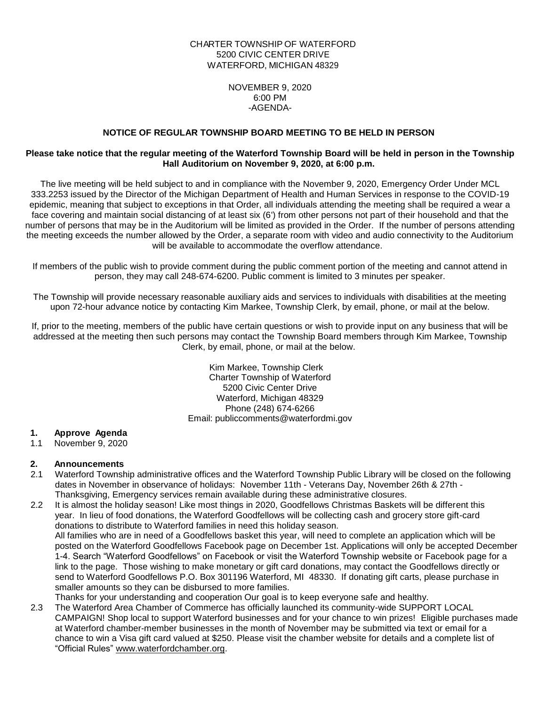### CHARTER TOWNSHIP OF WATERFORD 5200 CIVIC CENTER DRIVE WATERFORD, MICHIGAN 48329

NOVEMBER 9, 2020 6:00 PM -AGENDA-

### **NOTICE OF REGULAR TOWNSHIP BOARD MEETING TO BE HELD IN PERSON**

#### **Please take notice that the regular meeting of the Waterford Township Board will be held in person in the Township Hall Auditorium on November 9, 2020, at 6:00 p.m.**

The live meeting will be held subject to and in compliance with the November 9, 2020, Emergency Order Under MCL 333.2253 issued by the Director of the Michigan Department of Health and Human Services in response to the COVID-19 epidemic, meaning that subject to exceptions in that Order, all individuals attending the meeting shall be required a wear a face covering and maintain social distancing of at least six (6') from other persons not part of their household and that the number of persons that may be in the Auditorium will be limited as provided in the Order. If the number of persons attending the meeting exceeds the number allowed by the Order, a separate room with video and audio connectivity to the Auditorium will be available to accommodate the overflow attendance.

If members of the public wish to provide comment during the public comment portion of the meeting and cannot attend in person, they may call 248-674-6200. Public comment is limited to 3 minutes per speaker.

The Township will provide necessary reasonable auxiliary aids and services to individuals with disabilities at the meeting upon 72-hour advance notice by contacting Kim Markee, Township Clerk, by email, phone, or mail at the below.

If, prior to the meeting, members of the public have certain questions or wish to provide input on any business that will be addressed at the meeting then such persons may contact the Township Board members through Kim Markee, Township Clerk, by email, phone, or mail at the below.

> Kim Markee, Township Clerk Charter Township of Waterford 5200 Civic Center Drive Waterford, Michigan 48329 Phone (248) 674-6266 Email: publiccomments@waterfordmi.gov

### **1. Approve Agenda**

1.1 November 9, 2020

### **2. Announcements**

- 2.1 Waterford Township administrative offices and the Waterford Township Public Library will be closed on the following dates in November in observance of holidays: November 11th - Veterans Day, November 26th & 27th - Thanksgiving, Emergency services remain available during these administrative closures.
- 2.2 It is almost the holiday season! Like most things in 2020, Goodfellows Christmas Baskets will be different this year. In lieu of food donations, the Waterford Goodfellows will be collecting cash and grocery store gift-card donations to distribute to Waterford families in need this holiday season. All families who are in need of a Goodfellows basket this year, will need to complete an application which will be posted on the Waterford Goodfellows Facebook page on December 1st. Applications will only be accepted December 1-4. Search "Waterford Goodfellows" on Facebook or visit the Waterford Township website or Facebook page for a link to the page. Those wishing to make monetary or gift card donations, may contact the Goodfellows directly or send to Waterford Goodfellows P.O. Box 301196 Waterford, MI 48330. If donating gift carts, please purchase in smaller amounts so they can be disbursed to more families. Thanks for your understanding and cooperation Our goal is to keep everyone safe and healthy.
- 2.3 The Waterford Area Chamber of Commerce has officially launched its community-wide SUPPORT LOCAL CAMPAIGN! Shop local to support Waterford businesses and for your chance to win prizes! Eligible purchases made at Waterford chamber-member businesses in the month of November may be submitted via text or email for a chance to win a Visa gift card valued at \$250. Please visit the chamber website for details and a complete list of "Official Rules" [www.waterfordchamber.org.](http://www.waterfordchamber.org/)